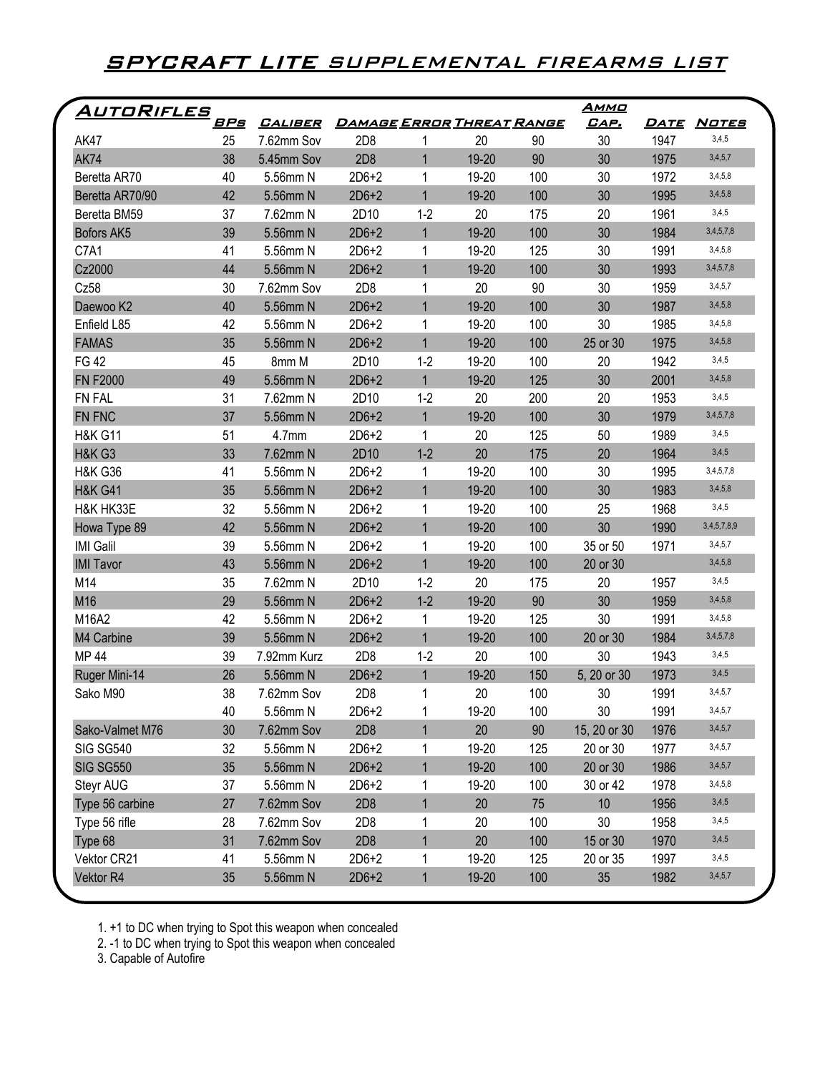## **SPYCRAFT LITE** SUPPLEMENTAL FIREARMS LIST

| AUTORIFLES         | <u>BPs</u> | <u>CALIBER</u> | <u>DAMAGE ERROR THREAT RANGE</u> |                |       |     | <u>Аммо</u><br>CAP. | <u>DATE</u> | <u>Notes</u> |
|--------------------|------------|----------------|----------------------------------|----------------|-------|-----|---------------------|-------------|--------------|
| <b>AK47</b>        | 25         | 7.62mm Sov     | 2D <sub>8</sub>                  | 1              | 20    | 90  | 30                  | 1947        | 3,4,5        |
| <b>AK74</b>        | 38         | 5.45mm Sov     | 2D8                              | $\mathbf{1}$   | 19-20 | 90  | 30                  | 1975        | 3,4,5,7      |
| Beretta AR70       | 40         | 5.56mm N       | $2D6+2$                          | 1              | 19-20 | 100 | 30                  | 1972        | 3,4,5,8      |
| Beretta AR70/90    | 42         | 5.56mm N       | $2D6+2$                          | $\mathbf{1}$   | 19-20 | 100 | 30                  | 1995        | 3,4,5,8      |
| Beretta BM59       | 37         | 7.62mm N       | 2D10                             | $1-2$          | 20    | 175 | 20                  | 1961        | 3,4,5        |
| Bofors AK5         | 39         | 5.56mm N       | $2D6+2$                          | $\mathbf{1}$   | 19-20 | 100 | 30                  | 1984        | 3,4,5,7,8    |
| C7A1               | 41         | 5.56mm N       | $2D6+2$                          | 1              | 19-20 | 125 | 30                  | 1991        | 3,4,5,8      |
| Cz2000             | 44         | 5.56mm N       | $2D6+2$                          | $\overline{1}$ | 19-20 | 100 | 30                  | 1993        | 3,4,5,7,8    |
| Cz58               | 30         | 7.62mm Sov     | 2D <sub>8</sub>                  | $\mathbf 1$    | 20    | 90  | 30                  | 1959        | 3,4,5,7      |
| Daewoo K2          | 40         | 5.56mm N       | $2D6+2$                          | $\mathbf{1}$   | 19-20 | 100 | 30                  | 1987        | 3,4,5,8      |
| Enfield L85        | 42         | 5.56mm N       | $2D6+2$                          | 1              | 19-20 | 100 | 30                  | 1985        | 3,4,5,8      |
| <b>FAMAS</b>       | 35         | 5.56mm N       | $2D6+2$                          | $\overline{1}$ | 19-20 | 100 | 25 or 30            | 1975        | 3,4,5,8      |
| <b>FG42</b>        | 45         | 8mm M          | 2D10                             | $1 - 2$        | 19-20 | 100 | 20                  | 1942        | 3,4,5        |
| <b>FN F2000</b>    | 49         | 5.56mm N       | $2D6+2$                          | $\mathbf{1}$   | 19-20 | 125 | 30                  | 2001        | 3,4,5,8      |
| FN FAL             | 31         | 7.62mm N       | 2D10                             | $1-2$          | 20    | 200 | 20                  | 1953        | 3,4,5        |
| FN FNC             | 37         | 5.56mm N       | $2D6+2$                          | $\mathbf{1}$   | 19-20 | 100 | 30                  | 1979        | 3,4,5,7,8    |
| <b>H&amp;K G11</b> | 51         | 4.7mm          | $2D6+2$                          | 1              | 20    | 125 | 50                  | 1989        | 3,4,5        |
| <b>H&amp;K G3</b>  | 33         | 7.62mm N       | 2D10                             | $1 - 2$        | 20    | 175 | 20                  | 1964        | 3,4,5        |
| <b>H&amp;K G36</b> | 41         | 5.56mm N       | $2D6+2$                          | 1              | 19-20 | 100 | 30                  | 1995        | 3,4,5,7,8    |
| <b>H&amp;K G41</b> | 35         | 5.56mm N       | $2D6+2$                          | $\mathbf{1}$   | 19-20 | 100 | 30                  | 1983        | 3,4,5,8      |
| H&K HK33E          | 32         | 5.56mm N       | $2D6+2$                          | 1              | 19-20 | 100 | 25                  | 1968        | 3,4,5        |
| Howa Type 89       | 42         | 5.56mm N       | $2D6+2$                          | $\mathbf{1}$   | 19-20 | 100 | 30                  | 1990        | 3,4,5,7,8,9  |
| <b>IMI Galil</b>   | 39         | 5.56mm N       | $2D6+2$                          | 1              | 19-20 | 100 | 35 or 50            | 1971        | 3,4,5,7      |
| <b>IMI Tavor</b>   | 43         | 5.56mm N       | $2D6+2$                          | $\mathbf{1}$   | 19-20 | 100 | 20 or 30            |             | 3,4,5,8      |
| M14                | 35         | 7.62mm N       | 2D10                             | $1 - 2$        | 20    | 175 | 20                  | 1957        | 3,4,5        |
| M16                | 29         | 5.56mm N       | $2D6+2$                          | $1-2$          | 19-20 | 90  | 30                  | 1959        | 3,4,5,8      |
| M16A2              | 42         | 5.56mm N       | $2D6+2$                          | 1              | 19-20 | 125 | 30                  | 1991        | 3,4,5,8      |
| M4 Carbine         | 39         | 5.56mm N       | $2D6+2$                          | $\mathbf{1}$   | 19-20 | 100 | 20 or 30            | 1984        | 3,4,5,7,8    |
| <b>MP 44</b>       | 39         | 7.92mm Kurz    | 2D <sub>8</sub>                  | $1-2$          | 20    | 100 | 30                  | 1943        | 3,4,5        |
| Ruger Mini-14      | 26         | 5.56mm N       | $2D6+2$                          | $\mathbf{1}$   | 19-20 | 150 | 5, 20 or 30         | 1973        | 3,4,5        |
| Sako M90           | 38         | 7.62mm Sov     | 2D <sub>8</sub>                  | 1              | 20    | 100 | 30                  | 1991        | 3,4,5,7      |
|                    | 40         | 5.56mm N       | $2D6+2$                          | 1              | 19-20 | 100 | 30                  | 1991        | 3,4,5,7      |
| Sako-Valmet M76    | 30         | 7.62mm Sov     | 2D8                              | $\mathbf{1}$   | 20    | 90  | 15, 20 or 30        | 1976        | 3,4,5,7      |
| <b>SIG SG540</b>   | 32         | 5.56mm N       | $2D6+2$                          | 1              | 19-20 | 125 | 20 or 30            | 1977        | 3,4,5,7      |
| <b>SIG SG550</b>   | 35         | 5.56mm N       | $2D6+2$                          | $\mathbf{1}$   | 19-20 | 100 | 20 or 30            | 1986        | 3,4,5,7      |
| Steyr AUG          | 37         | 5.56mm N       | $2D6+2$                          | 1              | 19-20 | 100 | 30 or 42            | 1978        | 3,4,5,8      |
| Type 56 carbine    | 27         | 7.62mm Sov     | 2D8                              | $\mathbf{1}$   | 20    | 75  | 10                  | 1956        | 3,4,5        |
| Type 56 rifle      | 28         | 7.62mm Sov     | 2D <sub>8</sub>                  | 1              | 20    | 100 | 30                  | 1958        | 3,4,5        |
| Type 68            | 31         | 7.62mm Sov     | 2D8                              | $\mathbf{1}$   | 20    | 100 | 15 or 30            | 1970        | 3,4,5        |
| Vektor CR21        | 41         | 5.56mm N       | $2D6+2$                          | 1              | 19-20 | 125 | 20 or 35            | 1997        | 3,4,5        |
| Vektor R4          | 35         | 5.56mm N       | $2D6+2$                          | $\mathbf 1$    | 19-20 | 100 | 35                  | 1982        | 3,4,5,7      |

1. +1 to DC when trying to Spot this weapon when concealed

2. -1 to DC when trying to Spot this weapon when concealed

3. Capable of Autofire